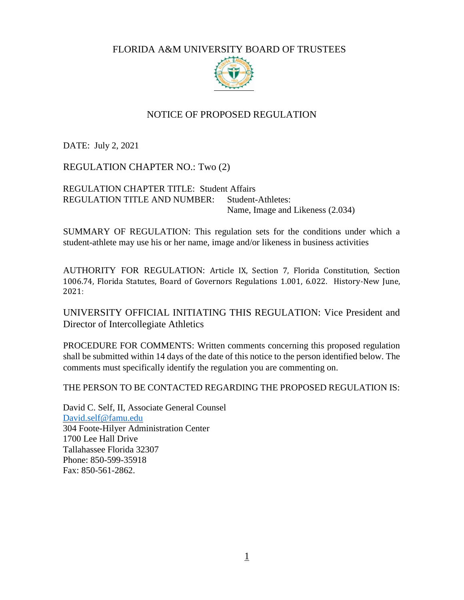FLORIDA A&M UNIVERSITY BOARD OF TRUSTEES



## NOTICE OF PROPOSED REGULATION

DATE: July 2, 2021

REGULATION CHAPTER NO.: Two (2)

REGULATION CHAPTER TITLE: Student Affairs REGULATION TITLE AND NUMBER: Student-Athletes: Name, Image and Likeness (2.034)

SUMMARY OF REGULATION: This regulation sets for the conditions under which a student-athlete may use his or her name, image and/or likeness in business activities

AUTHORITY FOR REGULATION: Article IX, Section 7, Florida Constitution, Section 1006.74, Florida Statutes, Board of Governors Regulations 1.001, 6.022. History-New June, 2021:

UNIVERSITY OFFICIAL INITIATING THIS REGULATION: Vice President and Director of Intercollegiate Athletics

PROCEDURE FOR COMMENTS: Written comments concerning this proposed regulation shall be submitted within 14 days of the date of this notice to the person identified below. The comments must specifically identify the regulation you are commenting on.

THE PERSON TO BE CONTACTED REGARDING THE PROPOSED REGULATION IS:

David C. Self, II, Associate General Counsel [David.self@famu.edu](mailto:David.self@famu.edu) 304 Foote-Hilyer Administration Center 1700 Lee Hall Drive Tallahassee Florida 32307 Phone: 850-599-35918 Fax: 850-561-2862.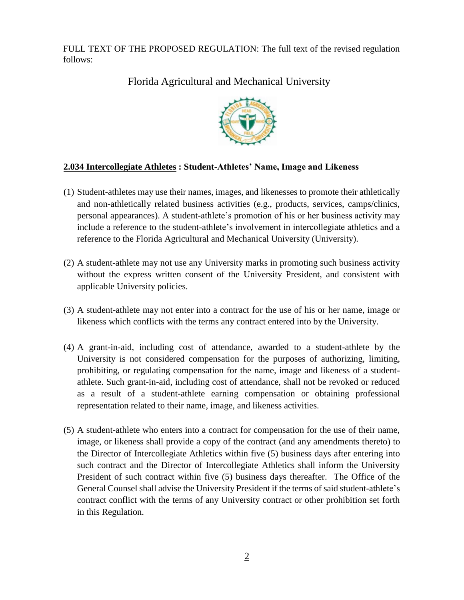FULL TEXT OF THE PROPOSED REGULATION: The full text of the revised regulation follows:

Florida Agricultural and Mechanical University



## **2.034 Intercollegiate Athletes : Student-Athletes' Name, Image and Likeness**

- (1) Student-athletes may use their names, images, and likenesses to promote their athletically and non-athletically related business activities (e.g., products, services, camps/clinics, personal appearances). A student-athlete's promotion of his or her business activity may include a reference to the student-athlete's involvement in intercollegiate athletics and a reference to the Florida Agricultural and Mechanical University (University).
- (2) A student-athlete may not use any University marks in promoting such business activity without the express written consent of the University President, and consistent with applicable University policies.
- (3) A student-athlete may not enter into a contract for the use of his or her name, image or likeness which conflicts with the terms any contract entered into by the University.
- (4) A grant-in-aid, including cost of attendance, awarded to a student-athlete by the University is not considered compensation for the purposes of authorizing, limiting, prohibiting, or regulating compensation for the name, image and likeness of a studentathlete. Such grant-in-aid, including cost of attendance, shall not be revoked or reduced as a result of a student-athlete earning compensation or obtaining professional representation related to their name, image, and likeness activities.
- (5) A student-athlete who enters into a contract for compensation for the use of their name, image, or likeness shall provide a copy of the contract (and any amendments thereto) to the Director of Intercollegiate Athletics within five (5) business days after entering into such contract and the Director of Intercollegiate Athletics shall inform the University President of such contract within five (5) business days thereafter. The Office of the General Counsel shall advise the University President if the terms of said student-athlete's contract conflict with the terms of any University contract or other prohibition set forth in this Regulation.